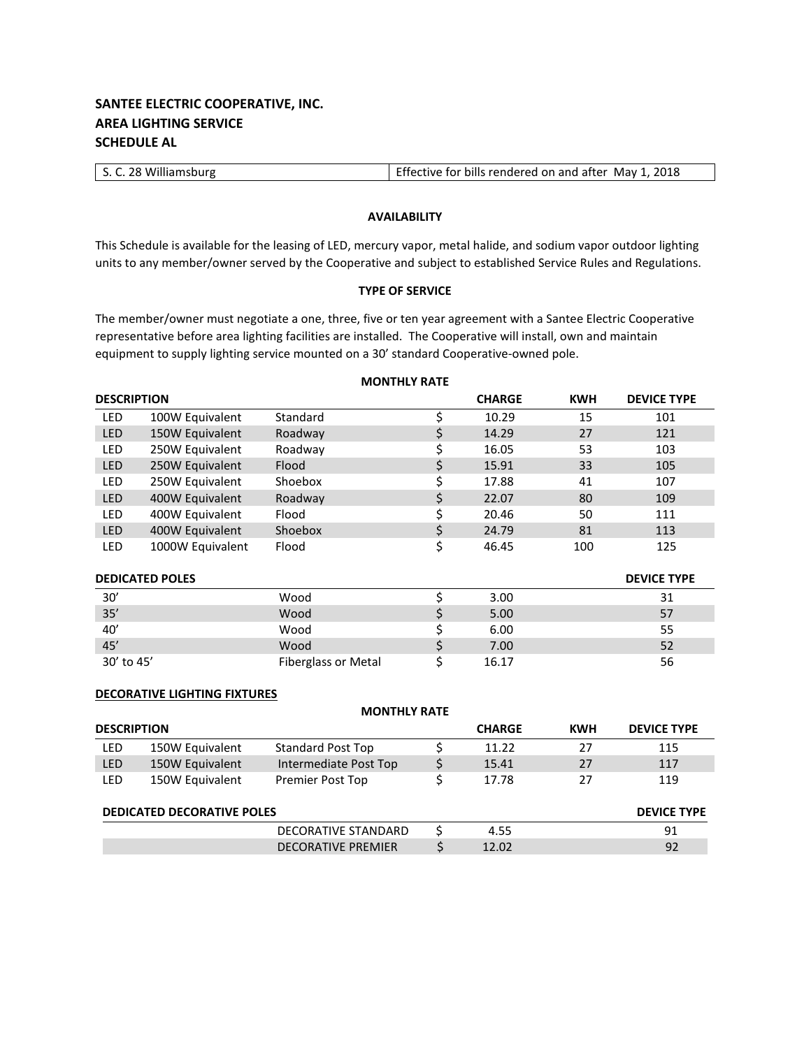# **SANTEE ELECTRIC COOPERATIVE, INC. AREA LIGHTING SERVICE SCHEDULE AL**

| S. C. 28 Williamsburg | Effective for bills rendered on and after May 1, 2018 |
|-----------------------|-------------------------------------------------------|

### **AVAILABILITY**

This Schedule is available for the leasing of LED, mercury vapor, metal halide, and sodium vapor outdoor lighting units to any member/owner served by the Cooperative and subject to established Service Rules and Regulations.

### **TYPE OF SERVICE**

The member/owner must negotiate a one, three, five or ten year agreement with a Santee Electric Cooperative representative before area lighting facilities are installed. The Cooperative will install, own and maintain equipment to supply lighting service mounted on a 30' standard Cooperative-owned pole.

| <b>DESCRIPTION</b> |                        |                            | <b>CHARGE</b> | <b>KWH</b> | <b>DEVICE TYPE</b> |
|--------------------|------------------------|----------------------------|---------------|------------|--------------------|
| <b>LED</b>         | 100W Equivalent        | Standard                   | \$<br>10.29   | 15         | 101                |
| <b>LED</b>         | 150W Equivalent        | Roadway                    | \$<br>14.29   | 27         | 121                |
| <b>LED</b>         | 250W Equivalent        | Roadway                    | \$<br>16.05   | 53         | 103                |
| LED                | 250W Equivalent        | Flood                      | \$<br>15.91   | 33         | 105                |
| <b>LED</b>         | 250W Equivalent        | Shoebox                    | \$<br>17.88   | 41         | 107                |
| LED                | 400W Equivalent        | Roadway                    | \$<br>22.07   | 80         | 109                |
| <b>LED</b>         | 400W Equivalent        | Flood                      | \$<br>20.46   | 50         | 111                |
| <b>LED</b>         | 400W Equivalent        | Shoebox                    | \$<br>24.79   | 81         | 113                |
| <b>LED</b>         | 1000W Equivalent       | Flood                      | \$<br>46.45   | 100        | 125                |
|                    | <b>DEDICATED POLES</b> |                            |               |            | <b>DEVICE TYPE</b> |
| 30'                |                        | Wood                       | \$<br>3.00    |            | 31                 |
| 35'                |                        | Wood                       | \$<br>5.00    |            | 57                 |
| 40'                |                        | Wood                       | \$<br>6.00    |            | 55                 |
| 45'                |                        | Wood                       | \$<br>7.00    |            | 52                 |
| 30' to 45'         |                        | <b>Fiberglass or Metal</b> | \$<br>16.17   |            | 56                 |

### **DECORATIVE LIGHTING FIXTURES**

|                    |                                   | <b>MONTHLY RATE</b>       |               |            |                    |
|--------------------|-----------------------------------|---------------------------|---------------|------------|--------------------|
| <b>DESCRIPTION</b> |                                   |                           | <b>CHARGE</b> | <b>KWH</b> | <b>DEVICE TYPE</b> |
| <b>LED</b>         | 150W Equivalent                   | <b>Standard Post Top</b>  | 11.22         | 27         | 115                |
| <b>LED</b>         | 150W Equivalent                   | Intermediate Post Top     | 15.41         | 27         | 117                |
| <b>LED</b>         | 150W Equivalent                   | Premier Post Top          | 17.78         | 27         | 119                |
|                    | <b>DEDICATED DECORATIVE POLES</b> |                           |               |            | <b>DEVICE TYPE</b> |
|                    |                                   | DECORATIVE STANDARD       | 4.55          |            | 91                 |
|                    |                                   | <b>DECORATIVE PREMIER</b> | 12.02         |            | 92                 |

### **MONTHLY RATE**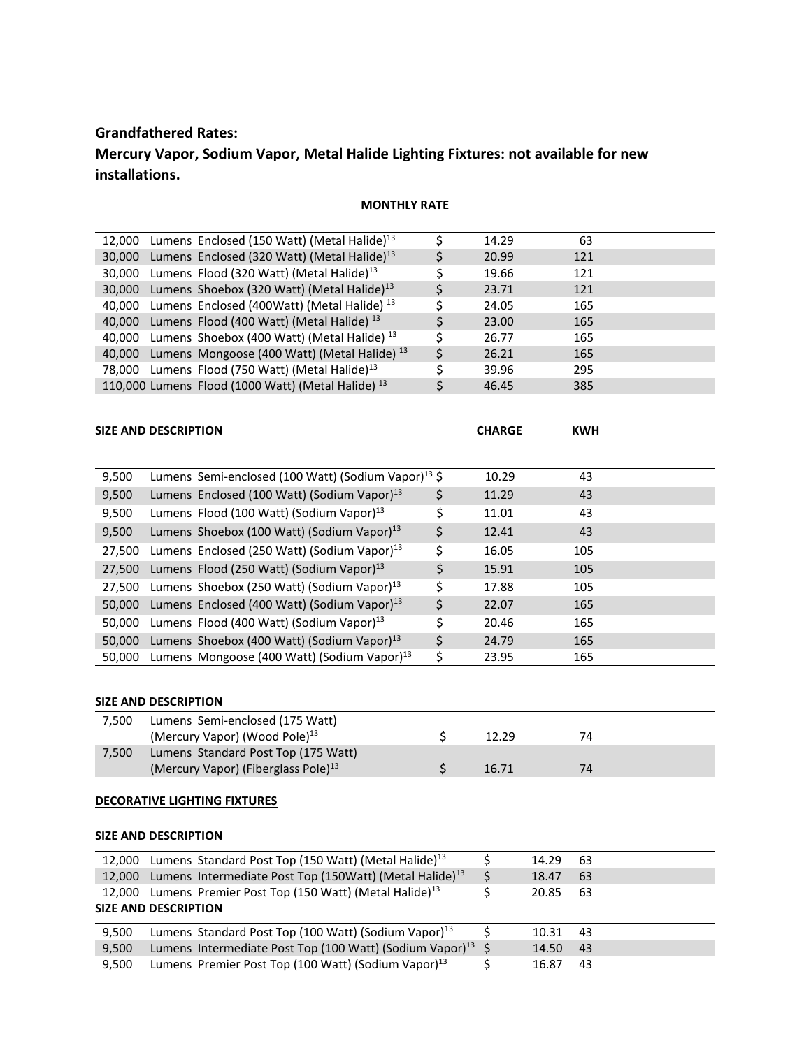# **Grandfathered Rates:**

# **Mercury Vapor, Sodium Vapor, Metal Halide Lighting Fixtures: not available for new installations.**

## **MONTHLY RATE**

| 12,000 Lumens Enclosed (150 Watt) (Metal Halide) <sup>13</sup> | 14.29 | 63  |  |
|----------------------------------------------------------------|-------|-----|--|
| 30,000 Lumens Enclosed (320 Watt) (Metal Halide) <sup>13</sup> | 20.99 | 121 |  |
| 30,000 Lumens Flood (320 Watt) (Metal Halide) <sup>13</sup>    | 19.66 | 121 |  |
| 30,000 Lumens Shoebox (320 Watt) (Metal Halide) <sup>13</sup>  | 23.71 | 121 |  |
| 40,000 Lumens Enclosed (400Watt) (Metal Halide) <sup>13</sup>  | 24.05 | 165 |  |
| 40,000 Lumens Flood (400 Watt) (Metal Halide) <sup>13</sup>    | 23.00 | 165 |  |
| 40,000 Lumens Shoebox (400 Watt) (Metal Halide) <sup>13</sup>  | 26.77 | 165 |  |
| 40,000 Lumens Mongoose (400 Watt) (Metal Halide) <sup>13</sup> | 26.21 | 165 |  |
| 78,000 Lumens Flood (750 Watt) (Metal Halide) <sup>13</sup>    | 39.96 | 295 |  |
| 110,000 Lumens Flood (1000 Watt) (Metal Halide) <sup>13</sup>  | 46.45 | 385 |  |

| <b>SIZE AND DESCRIPTION</b> | <b>CHARGE</b> | KWH |
|-----------------------------|---------------|-----|
|                             |               |     |

| 9,500  | Lumens Semi-enclosed (100 Watt) (Sodium Vapor) <sup>13</sup> \$ |    | 10.29 | 43  |  |
|--------|-----------------------------------------------------------------|----|-------|-----|--|
| 9,500  | Lumens Enclosed (100 Watt) (Sodium Vapor) <sup>13</sup>         | \$ | 11.29 | 43  |  |
| 9,500  | Lumens Flood (100 Watt) (Sodium Vapor) <sup>13</sup>            |    | 11.01 | 43  |  |
| 9,500  | Lumens Shoebox (100 Watt) (Sodium Vapor) <sup>13</sup>          | \$ | 12.41 | 43  |  |
| 27.500 | Lumens Enclosed (250 Watt) (Sodium Vapor) $^{13}$               | Ś  | 16.05 | 105 |  |
| 27,500 | Lumens Flood (250 Watt) (Sodium Vapor) <sup>13</sup>            | Ś  | 15.91 | 105 |  |
| 27.500 | Lumens Shoebox (250 Watt) (Sodium Vapor) <sup>13</sup>          | Ś  | 17.88 | 105 |  |
| 50,000 | Lumens Enclosed (400 Watt) (Sodium Vapor) $^{13}$               | Ś  | 22.07 | 165 |  |
| 50.000 | Lumens Flood (400 Watt) (Sodium Vapor) <sup>13</sup>            |    | 20.46 | 165 |  |
| 50.000 | Lumens Shoebox (400 Watt) (Sodium Vapor) $^{13}$                | Ś  | 24.79 | 165 |  |
| 50.000 | Lumens Mongoose (400 Watt) (Sodium Vapor) <sup>13</sup>         |    | 23.95 | 165 |  |

## **SIZE AND DESCRIPTION**

| 7.500 | Lumens Semi-enclosed (175 Watt)                 |       |    |  |
|-------|-------------------------------------------------|-------|----|--|
|       | (Mercury Vapor) (Wood Pole) $^{13}$             | 12.29 | 74 |  |
| 7.500 | Lumens Standard Post Top (175 Watt)             |       |    |  |
|       | (Mercury Vapor) (Fiberglass Pole) <sup>13</sup> | 16.71 | 74 |  |

### **DECORATIVE LIGHTING FIXTURES**

### **SIZE AND DESCRIPTION**

|       | 12,000 Lumens Standard Post Top (150 Watt) (Metal Halide) <sup>13</sup>    | 14.29 | -63 |
|-------|----------------------------------------------------------------------------|-------|-----|
|       | 12,000 Lumens Intermediate Post Top (150Watt) (Metal Halide) <sup>13</sup> | 18.47 | 63  |
|       | 12,000 Lumens Premier Post Top (150 Watt) (Metal Halide) <sup>13</sup>     | 20.85 | 63  |
|       | <b>SIZE AND DESCRIPTION</b>                                                |       |     |
| 9.500 | Lumens Standard Post Top (100 Watt) (Sodium Vapor) <sup>13</sup>           | 10.31 | -43 |
| 9,500 | Lumens Intermediate Post Top (100 Watt) (Sodium Vapor) <sup>13</sup> \$    | 14.50 | 43  |
|       |                                                                            |       |     |
| 9.500 | Lumens Premier Post Top (100 Watt) (Sodium Vapor) <sup>13</sup>            | 16.87 | 43  |